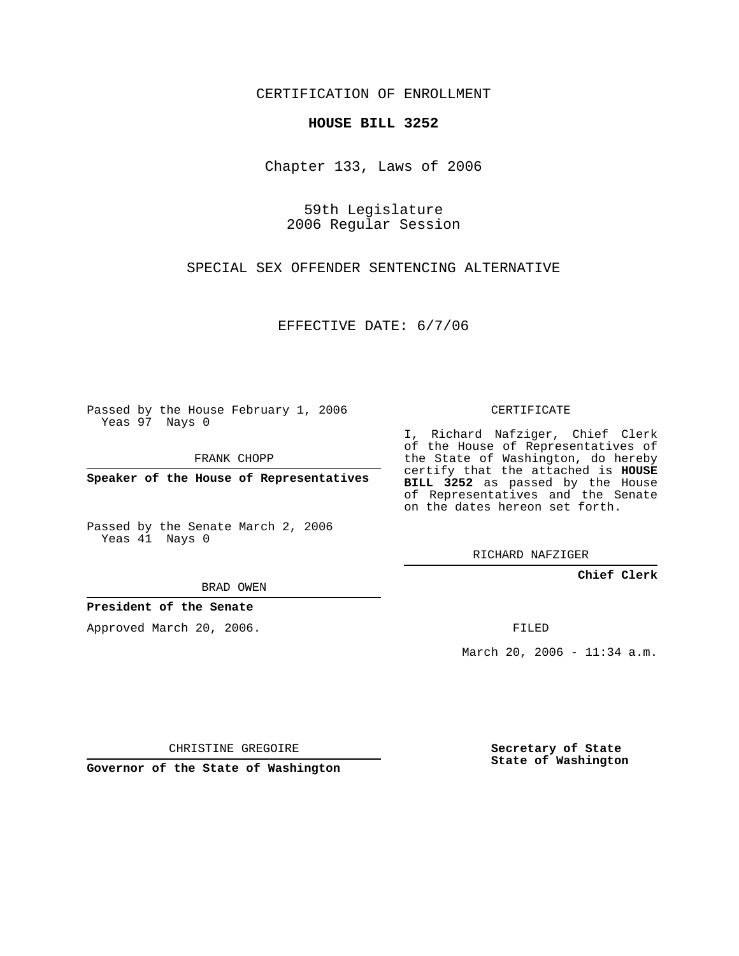CERTIFICATION OF ENROLLMENT

## **HOUSE BILL 3252**

Chapter 133, Laws of 2006

59th Legislature 2006 Regular Session

SPECIAL SEX OFFENDER SENTENCING ALTERNATIVE

EFFECTIVE DATE: 6/7/06

Passed by the House February 1, 2006 Yeas 97 Nays 0

FRANK CHOPP

**Speaker of the House of Representatives**

Passed by the Senate March 2, 2006 Yeas 41 Nays 0

CERTIFICATE

I, Richard Nafziger, Chief Clerk of the House of Representatives of the State of Washington, do hereby certify that the attached is **HOUSE BILL 3252** as passed by the House of Representatives and the Senate on the dates hereon set forth.

RICHARD NAFZIGER

**Chief Clerk**

BRAD OWEN

**President of the Senate**

Approved March 20, 2006.

FILED

March 20, 2006 - 11:34 a.m.

CHRISTINE GREGOIRE

**Governor of the State of Washington**

**Secretary of State State of Washington**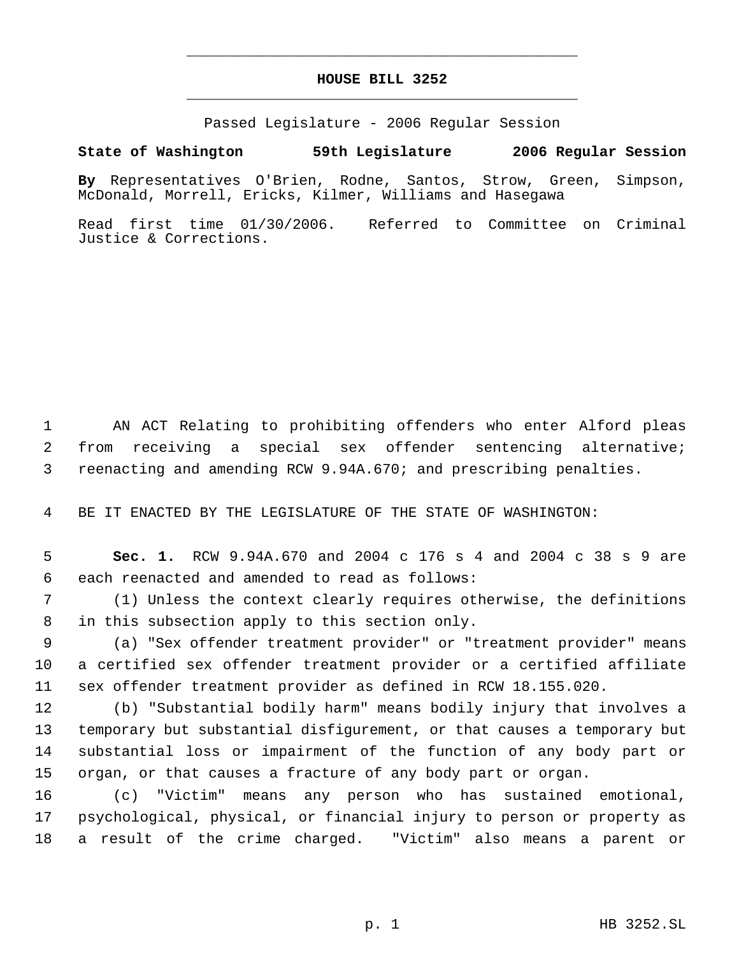## **HOUSE BILL 3252** \_\_\_\_\_\_\_\_\_\_\_\_\_\_\_\_\_\_\_\_\_\_\_\_\_\_\_\_\_\_\_\_\_\_\_\_\_\_\_\_\_\_\_\_\_

\_\_\_\_\_\_\_\_\_\_\_\_\_\_\_\_\_\_\_\_\_\_\_\_\_\_\_\_\_\_\_\_\_\_\_\_\_\_\_\_\_\_\_\_\_

Passed Legislature - 2006 Regular Session

## **State of Washington 59th Legislature 2006 Regular Session**

**By** Representatives O'Brien, Rodne, Santos, Strow, Green, Simpson, McDonald, Morrell, Ericks, Kilmer, Williams and Hasegawa

Read first time 01/30/2006. Referred to Committee on Criminal Justice & Corrections.

 AN ACT Relating to prohibiting offenders who enter Alford pleas from receiving a special sex offender sentencing alternative; reenacting and amending RCW 9.94A.670; and prescribing penalties.

BE IT ENACTED BY THE LEGISLATURE OF THE STATE OF WASHINGTON:

 **Sec. 1.** RCW 9.94A.670 and 2004 c 176 s 4 and 2004 c 38 s 9 are each reenacted and amended to read as follows:

 (1) Unless the context clearly requires otherwise, the definitions in this subsection apply to this section only.

 (a) "Sex offender treatment provider" or "treatment provider" means a certified sex offender treatment provider or a certified affiliate sex offender treatment provider as defined in RCW 18.155.020.

 (b) "Substantial bodily harm" means bodily injury that involves a temporary but substantial disfigurement, or that causes a temporary but substantial loss or impairment of the function of any body part or organ, or that causes a fracture of any body part or organ.

 (c) "Victim" means any person who has sustained emotional, psychological, physical, or financial injury to person or property as a result of the crime charged. "Victim" also means a parent or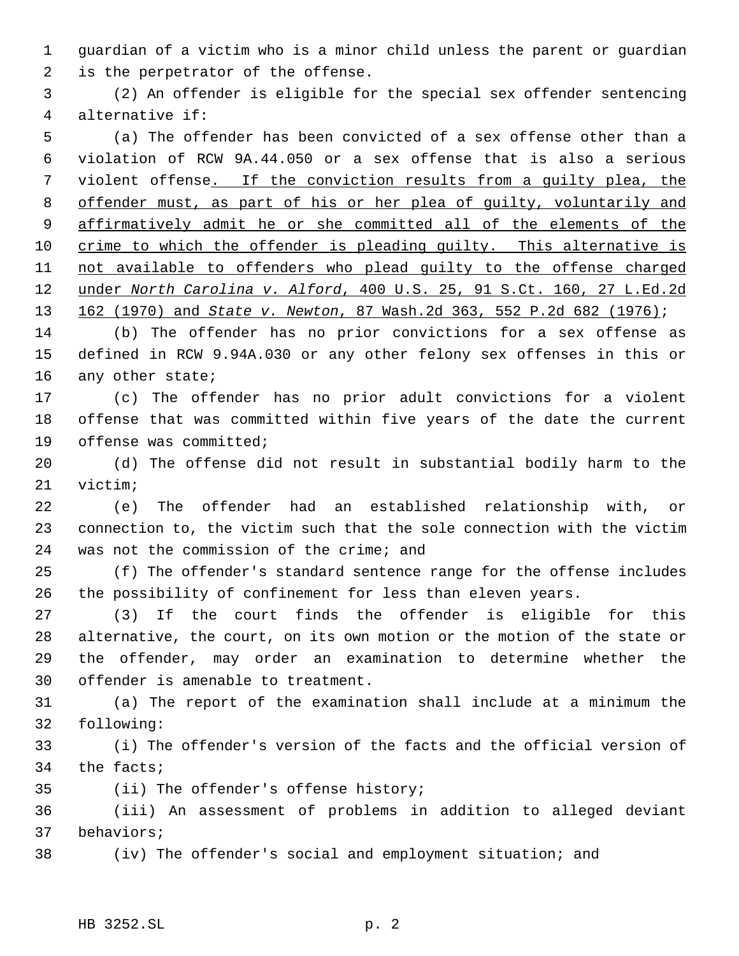guardian of a victim who is a minor child unless the parent or guardian is the perpetrator of the offense.

 (2) An offender is eligible for the special sex offender sentencing alternative if:

 (a) The offender has been convicted of a sex offense other than a violation of RCW 9A.44.050 or a sex offense that is also a serious violent offense. If the conviction results from a guilty plea, the offender must, as part of his or her plea of guilty, voluntarily and affirmatively admit he or she committed all of the elements of the 10 crime to which the offender is pleading guilty. This alternative is 11 not available to offenders who plead guilty to the offense charged under *North Carolina v. Alford*, 400 U.S. 25, 91 S.Ct. 160, 27 L.Ed.2d 162 (1970) and *State v. Newton*, 87 Wash.2d 363, 552 P.2d 682 (1976);

 (b) The offender has no prior convictions for a sex offense as defined in RCW 9.94A.030 or any other felony sex offenses in this or 16 any other state;

 (c) The offender has no prior adult convictions for a violent offense that was committed within five years of the date the current offense was committed;

 (d) The offense did not result in substantial bodily harm to the victim;

 (e) The offender had an established relationship with, or connection to, the victim such that the sole connection with the victim was not the commission of the crime; and

 (f) The offender's standard sentence range for the offense includes the possibility of confinement for less than eleven years.

 (3) If the court finds the offender is eligible for this alternative, the court, on its own motion or the motion of the state or the offender, may order an examination to determine whether the offender is amenable to treatment.

 (a) The report of the examination shall include at a minimum the following:

 (i) The offender's version of the facts and the official version of the facts;

(ii) The offender's offense history;

 (iii) An assessment of problems in addition to alleged deviant behaviors;

(iv) The offender's social and employment situation; and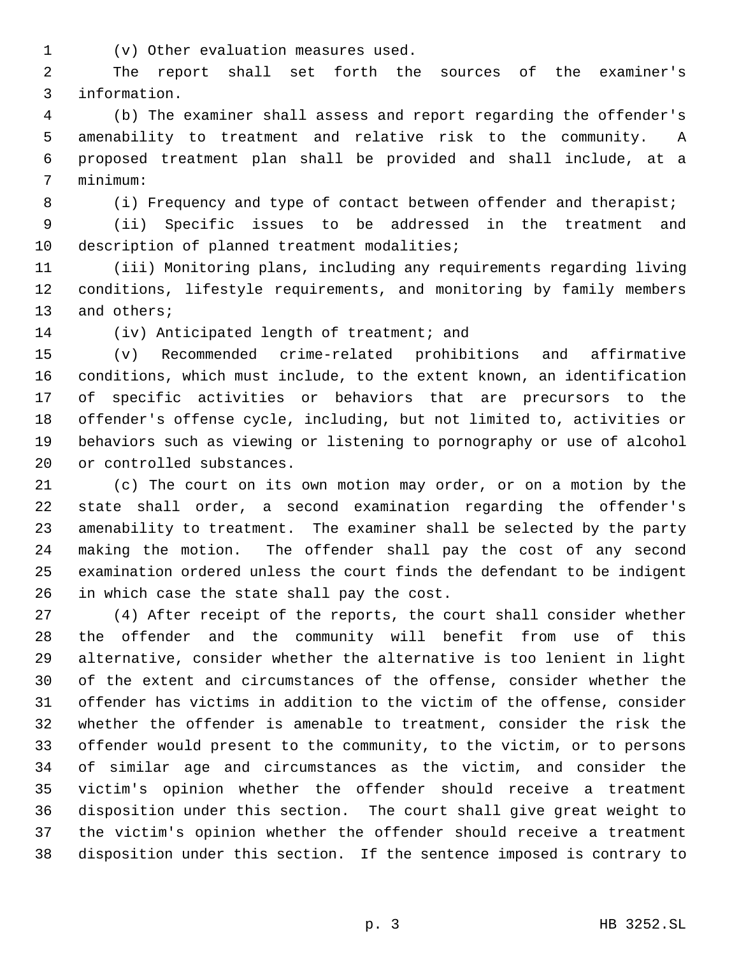(v) Other evaluation measures used.

 The report shall set forth the sources of the examiner's information.

 (b) The examiner shall assess and report regarding the offender's amenability to treatment and relative risk to the community. A proposed treatment plan shall be provided and shall include, at a minimum:

8 (i) Frequency and type of contact between offender and therapist;

 (ii) Specific issues to be addressed in the treatment and description of planned treatment modalities;

 (iii) Monitoring plans, including any requirements regarding living conditions, lifestyle requirements, and monitoring by family members and others;

(iv) Anticipated length of treatment; and

 (v) Recommended crime-related prohibitions and affirmative conditions, which must include, to the extent known, an identification of specific activities or behaviors that are precursors to the offender's offense cycle, including, but not limited to, activities or behaviors such as viewing or listening to pornography or use of alcohol or controlled substances.

 (c) The court on its own motion may order, or on a motion by the state shall order, a second examination regarding the offender's amenability to treatment. The examiner shall be selected by the party making the motion. The offender shall pay the cost of any second examination ordered unless the court finds the defendant to be indigent in which case the state shall pay the cost.

 (4) After receipt of the reports, the court shall consider whether the offender and the community will benefit from use of this alternative, consider whether the alternative is too lenient in light of the extent and circumstances of the offense, consider whether the offender has victims in addition to the victim of the offense, consider whether the offender is amenable to treatment, consider the risk the offender would present to the community, to the victim, or to persons of similar age and circumstances as the victim, and consider the victim's opinion whether the offender should receive a treatment disposition under this section. The court shall give great weight to the victim's opinion whether the offender should receive a treatment disposition under this section. If the sentence imposed is contrary to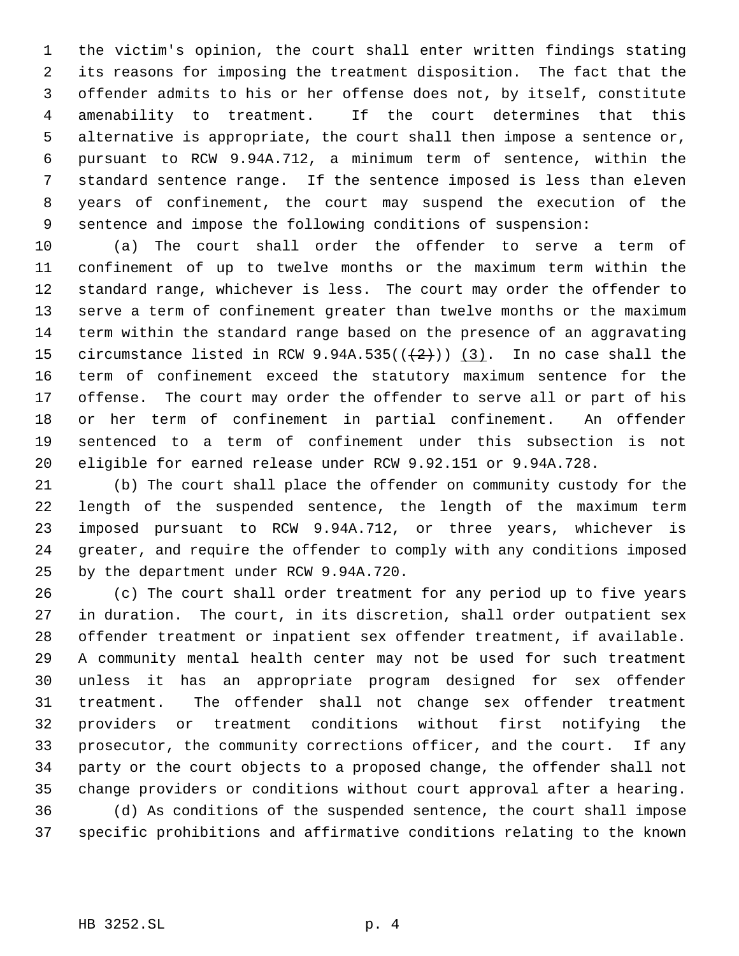the victim's opinion, the court shall enter written findings stating its reasons for imposing the treatment disposition. The fact that the offender admits to his or her offense does not, by itself, constitute amenability to treatment. If the court determines that this alternative is appropriate, the court shall then impose a sentence or, pursuant to RCW 9.94A.712, a minimum term of sentence, within the standard sentence range. If the sentence imposed is less than eleven years of confinement, the court may suspend the execution of the sentence and impose the following conditions of suspension:

 (a) The court shall order the offender to serve a term of confinement of up to twelve months or the maximum term within the standard range, whichever is less. The court may order the offender to serve a term of confinement greater than twelve months or the maximum term within the standard range based on the presence of an aggravating 15 circumstance listed in RCW 9.94A.535( $(\frac{2}{2})$ ) (3). In no case shall the term of confinement exceed the statutory maximum sentence for the offense. The court may order the offender to serve all or part of his or her term of confinement in partial confinement. An offender sentenced to a term of confinement under this subsection is not eligible for earned release under RCW 9.92.151 or 9.94A.728.

 (b) The court shall place the offender on community custody for the length of the suspended sentence, the length of the maximum term imposed pursuant to RCW 9.94A.712, or three years, whichever is greater, and require the offender to comply with any conditions imposed by the department under RCW 9.94A.720.

 (c) The court shall order treatment for any period up to five years in duration. The court, in its discretion, shall order outpatient sex offender treatment or inpatient sex offender treatment, if available. A community mental health center may not be used for such treatment unless it has an appropriate program designed for sex offender treatment. The offender shall not change sex offender treatment providers or treatment conditions without first notifying the prosecutor, the community corrections officer, and the court. If any party or the court objects to a proposed change, the offender shall not change providers or conditions without court approval after a hearing. (d) As conditions of the suspended sentence, the court shall impose specific prohibitions and affirmative conditions relating to the known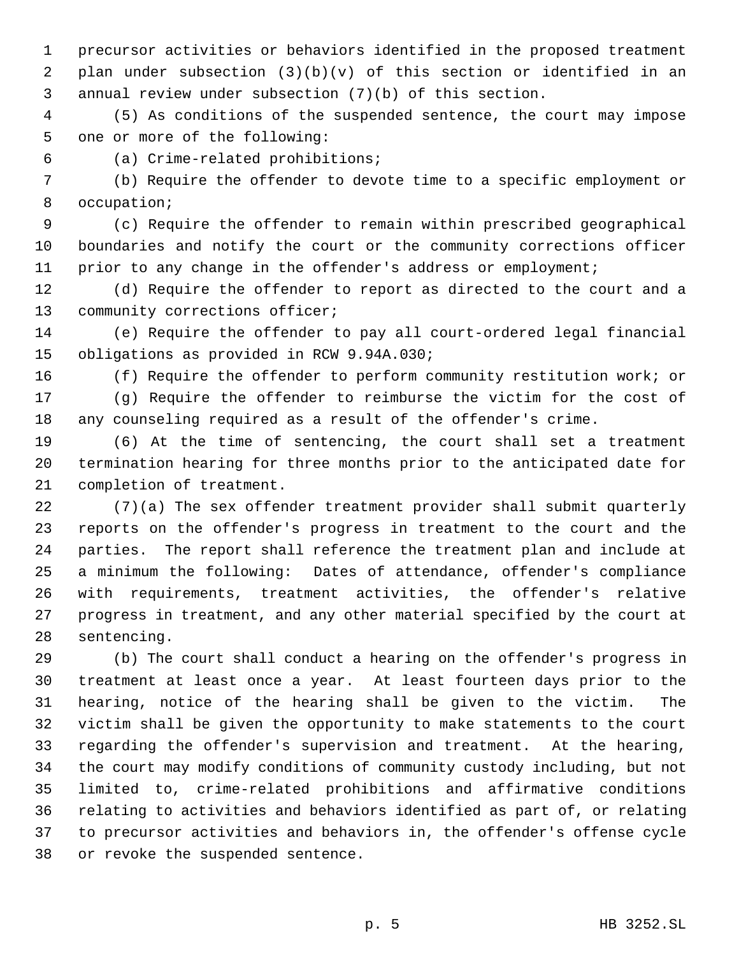precursor activities or behaviors identified in the proposed treatment plan under subsection (3)(b)(v) of this section or identified in an annual review under subsection (7)(b) of this section.

 (5) As conditions of the suspended sentence, the court may impose one or more of the following:

(a) Crime-related prohibitions;

 (b) Require the offender to devote time to a specific employment or occupation;

 (c) Require the offender to remain within prescribed geographical boundaries and notify the court or the community corrections officer prior to any change in the offender's address or employment;

 (d) Require the offender to report as directed to the court and a community corrections officer;

 (e) Require the offender to pay all court-ordered legal financial obligations as provided in RCW 9.94A.030;

(f) Require the offender to perform community restitution work; or

 (g) Require the offender to reimburse the victim for the cost of any counseling required as a result of the offender's crime.

 (6) At the time of sentencing, the court shall set a treatment termination hearing for three months prior to the anticipated date for completion of treatment.

 (7)(a) The sex offender treatment provider shall submit quarterly reports on the offender's progress in treatment to the court and the parties. The report shall reference the treatment plan and include at a minimum the following: Dates of attendance, offender's compliance with requirements, treatment activities, the offender's relative progress in treatment, and any other material specified by the court at sentencing.

 (b) The court shall conduct a hearing on the offender's progress in treatment at least once a year. At least fourteen days prior to the hearing, notice of the hearing shall be given to the victim. The victim shall be given the opportunity to make statements to the court regarding the offender's supervision and treatment. At the hearing, the court may modify conditions of community custody including, but not limited to, crime-related prohibitions and affirmative conditions relating to activities and behaviors identified as part of, or relating to precursor activities and behaviors in, the offender's offense cycle or revoke the suspended sentence.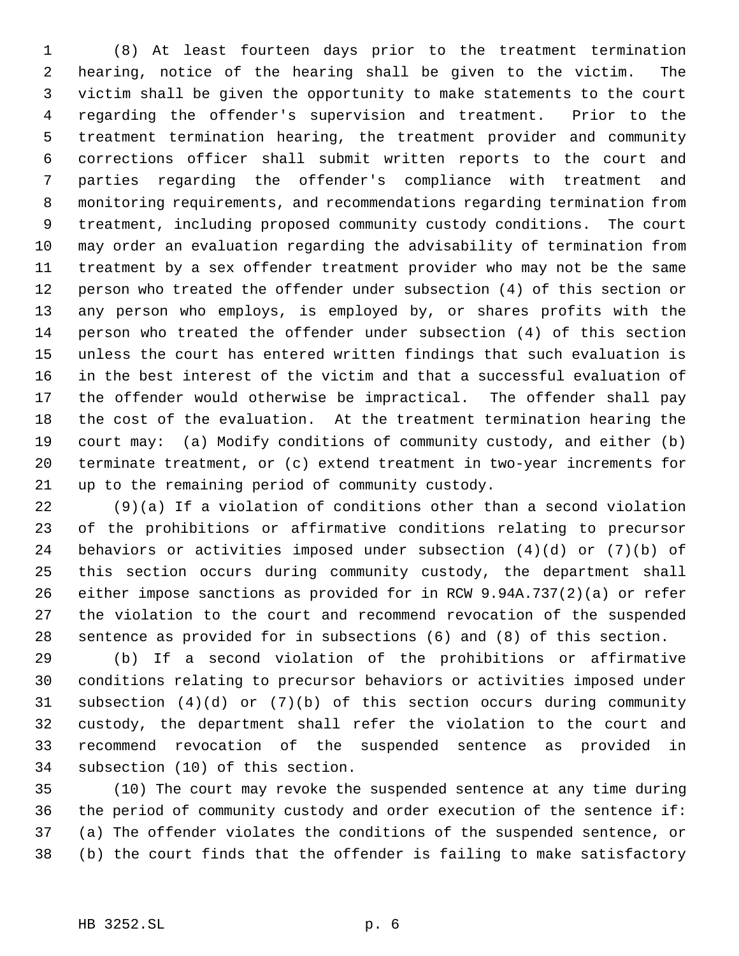(8) At least fourteen days prior to the treatment termination hearing, notice of the hearing shall be given to the victim. The victim shall be given the opportunity to make statements to the court regarding the offender's supervision and treatment. Prior to the treatment termination hearing, the treatment provider and community corrections officer shall submit written reports to the court and parties regarding the offender's compliance with treatment and monitoring requirements, and recommendations regarding termination from treatment, including proposed community custody conditions. The court may order an evaluation regarding the advisability of termination from treatment by a sex offender treatment provider who may not be the same person who treated the offender under subsection (4) of this section or any person who employs, is employed by, or shares profits with the person who treated the offender under subsection (4) of this section unless the court has entered written findings that such evaluation is in the best interest of the victim and that a successful evaluation of the offender would otherwise be impractical. The offender shall pay the cost of the evaluation. At the treatment termination hearing the court may: (a) Modify conditions of community custody, and either (b) terminate treatment, or (c) extend treatment in two-year increments for up to the remaining period of community custody.

 (9)(a) If a violation of conditions other than a second violation of the prohibitions or affirmative conditions relating to precursor behaviors or activities imposed under subsection (4)(d) or (7)(b) of this section occurs during community custody, the department shall either impose sanctions as provided for in RCW 9.94A.737(2)(a) or refer the violation to the court and recommend revocation of the suspended sentence as provided for in subsections (6) and (8) of this section.

 (b) If a second violation of the prohibitions or affirmative conditions relating to precursor behaviors or activities imposed under subsection (4)(d) or (7)(b) of this section occurs during community custody, the department shall refer the violation to the court and recommend revocation of the suspended sentence as provided in subsection (10) of this section.

 (10) The court may revoke the suspended sentence at any time during the period of community custody and order execution of the sentence if: (a) The offender violates the conditions of the suspended sentence, or (b) the court finds that the offender is failing to make satisfactory